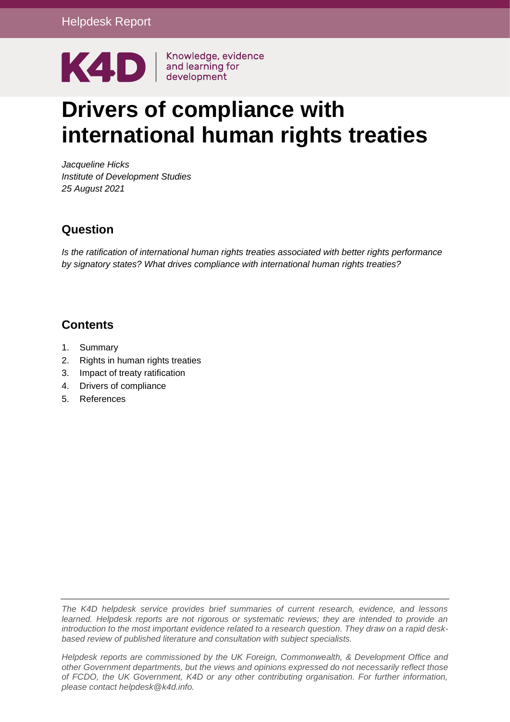

# **Drivers of compliance with international human rights treaties**

*Jacqueline Hicks Institute of Development Studies 25 August 2021*

## **Question**

*Is the ratification of international human rights treaties associated with better rights performance by signatory states? What drives compliance with international human rights treaties?*

## **Contents**

- [1.](#page-0-0) Summary
- 2. Rights in human rights treaties
- [3.](#page-2-0) Impact of treaty ratification
- 4. Drivers of compliance
- <span id="page-0-0"></span>5. References

*The K4D helpdesk service provides brief summaries of current research, evidence, and lessons learned. Helpdesk reports are not rigorous or systematic reviews; they are intended to provide an introduction to the most important evidence related to a research question. They draw on a rapid deskbased review of published literature and consultation with subject specialists.* 

*Helpdesk reports are commissioned by the UK Foreign, Commonwealth, & Development Office and other Government departments, but the views and opinions expressed do not necessarily reflect those of FCDO, the UK Government, K4D or any other contributing organisation. For further information, please contact helpdesk@k4d.info.*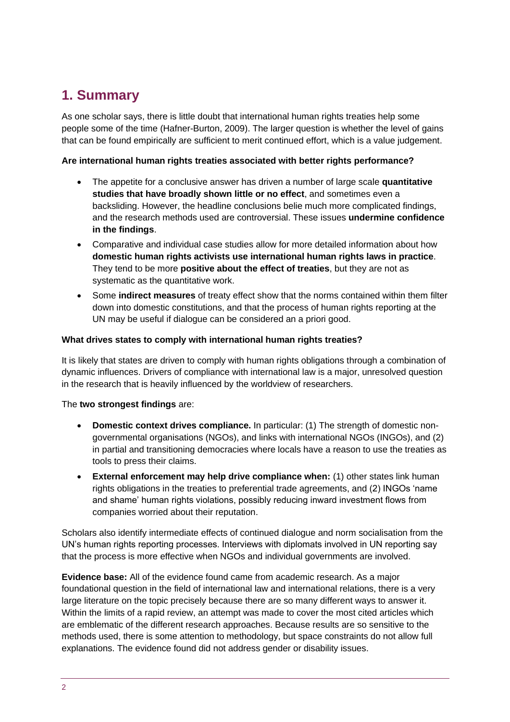# **1. Summary**

As one scholar says, there is little doubt that international human rights treaties help some people some of the time (Hafner-Burton, 2009). The larger question is whether the level of gains that can be found empirically are sufficient to merit continued effort, which is a value judgement.

#### **Are international human rights treaties associated with better rights performance?**

- The appetite for a conclusive answer has driven a number of large scale **quantitative studies that have broadly shown little or no effect**, and sometimes even a backsliding. However, the headline conclusions belie much more complicated findings, and the research methods used are controversial. These issues **undermine confidence in the findings**.
- Comparative and individual case studies allow for more detailed information about how **domestic human rights activists use international human rights laws in practice**. They tend to be more **positive about the effect of treaties**, but they are not as systematic as the quantitative work.
- Some **indirect measures** of treaty effect show that the norms contained within them filter down into domestic constitutions, and that the process of human rights reporting at the UN may be useful if dialogue can be considered an a priori good.

#### **What drives states to comply with international human rights treaties?**

It is likely that states are driven to comply with human rights obligations through a combination of dynamic influences. Drivers of compliance with international law is a major, unresolved question in the research that is heavily influenced by the worldview of researchers.

#### The **two strongest findings** are:

- **Domestic context drives compliance.** In particular: (1) The strength of domestic nongovernmental organisations (NGOs), and links with international NGOs (INGOs), and (2) in partial and transitioning democracies where locals have a reason to use the treaties as tools to press their claims.
- **External enforcement may help drive compliance when:** (1) other states link human rights obligations in the treaties to preferential trade agreements, and (2) INGOs 'name and shame' human rights violations, possibly reducing inward investment flows from companies worried about their reputation.

Scholars also identify intermediate effects of continued dialogue and norm socialisation from the UN's human rights reporting processes. Interviews with diplomats involved in UN reporting say that the process is more effective when NGOs and individual governments are involved.

**Evidence base:** All of the evidence found came from academic research. As a major foundational question in the field of international law and international relations, there is a very large literature on the topic precisely because there are so many different ways to answer it. Within the limits of a rapid review, an attempt was made to cover the most cited articles which are emblematic of the different research approaches. Because results are so sensitive to the methods used, there is some attention to methodology, but space constraints do not allow full explanations. The evidence found did not address gender or disability issues.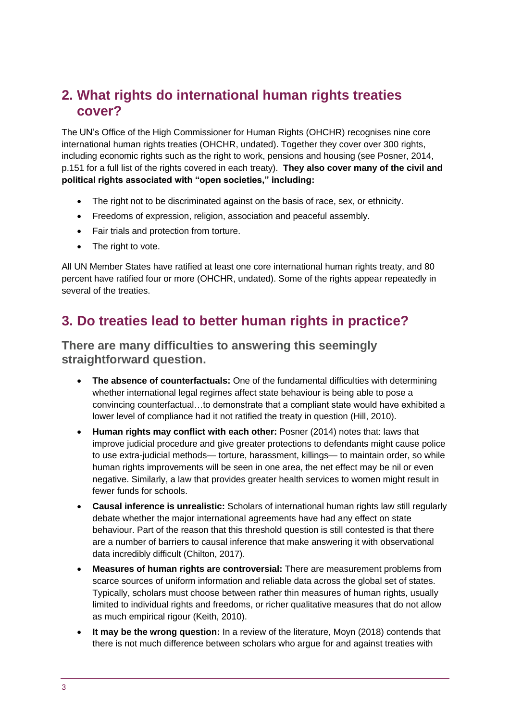## **2. What rights do international human rights treaties cover?**

The UN's Office of the High Commissioner for Human Rights (OHCHR) recognises nine core international human rights treaties (OHCHR, undated). Together they cover over 300 rights, including economic rights such as the right to work, pensions and housing (see Posner, 2014, p.151 for a full list of the rights covered in each treaty). **They also cover many of the civil and political rights associated with "open societies," including:**

- The right not to be discriminated against on the basis of race, sex, or ethnicity.
- Freedoms of expression, religion, association and peaceful assembly.
- Fair trials and protection from torture.
- The right to vote.

All UN Member States have ratified at least one core international human rights treaty, and 80 percent have ratified four or more (OHCHR, undated). Some of the rights appear repeatedly in several of the treaties.

# <span id="page-2-0"></span>**3. Do treaties lead to better human rights in practice?**

#### **There are many difficulties to answering this seemingly straightforward question.**

- **The absence of counterfactuals:** One of the fundamental difficulties with determining whether international legal regimes affect state behaviour is being able to pose a convincing counterfactual…to demonstrate that a compliant state would have exhibited a lower level of compliance had it not ratified the treaty in question (Hill, 2010).
- **Human rights may conflict with each other:** Posner (2014) notes that: laws that improve judicial procedure and give greater protections to defendants might cause police to use extra-judicial methods— torture, harassment, killings— to maintain order, so while human rights improvements will be seen in one area, the net effect may be nil or even negative. Similarly, a law that provides greater health services to women might result in fewer funds for schools.
- **Causal inference is unrealistic:** Scholars of international human rights law still regularly debate whether the major international agreements have had any effect on state behaviour. Part of the reason that this threshold question is still contested is that there are a number of barriers to causal inference that make answering it with observational data incredibly difficult (Chilton, 2017).
- **Measures of human rights are controversial:** There are measurement problems from scarce sources of uniform information and reliable data across the global set of states. Typically, scholars must choose between rather thin measures of human rights, usually limited to individual rights and freedoms, or richer qualitative measures that do not allow as much empirical rigour (Keith, 2010).
- **It may be the wrong question:** In a review of the literature, Moyn (2018) contends that there is not much difference between scholars who argue for and against treaties with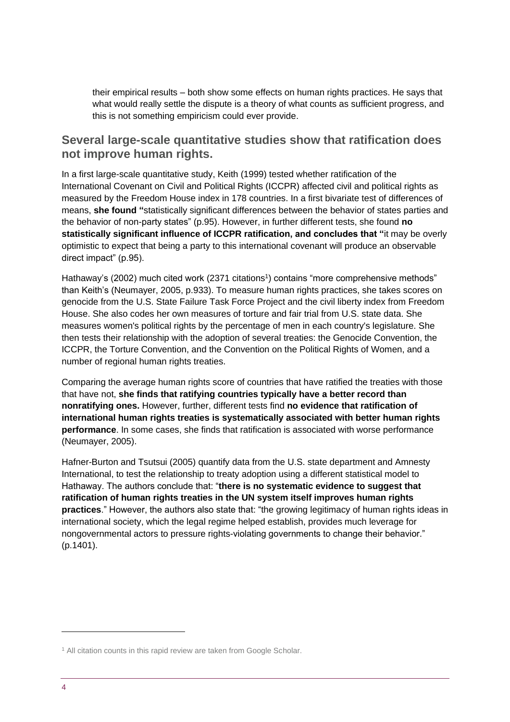their empirical results – both show some effects on human rights practices. He says that what would really settle the dispute is a theory of what counts as sufficient progress, and this is not something empiricism could ever provide.

#### **Several large-scale quantitative studies show that ratification does not improve human rights.**

In a first large-scale quantitative study, Keith (1999) tested whether ratification of the International Covenant on Civil and Political Rights (ICCPR) affected civil and political rights as measured by the Freedom House index in 178 countries. In a first bivariate test of differences of means, **she found "**statistically significant differences between the behavior of states parties and the behavior of non-party states" (p.95). However, in further different tests, she found **no statistically significant influence of ICCPR ratification, and concludes that "**it may be overly optimistic to expect that being a party to this international covenant will produce an observable direct impact" (p.95).

Hathaway's (2002) much cited work (2371 citations<sup>1</sup>) contains "more comprehensive methods" than Keith's (Neumayer, 2005, p.933). To measure human rights practices, she takes scores on genocide from the U.S. State Failure Task Force Project and the civil liberty index from Freedom House. She also codes her own measures of torture and fair trial from U.S. state data. She measures women's political rights by the percentage of men in each country's legislature. She then tests their relationship with the adoption of several treaties: the Genocide Convention, the ICCPR, the Torture Convention, and the Convention on the Political Rights of Women, and a number of regional human rights treaties.

Comparing the average human rights score of countries that have ratified the treaties with those that have not, **she finds that ratifying countries typically have a better record than nonratifying ones.** However, further, different tests find **no evidence that ratification of international human rights treaties is systematically associated with better human rights performance**. In some cases, she finds that ratification is associated with worse performance (Neumayer, 2005).

Hafner-Burton and Tsutsui (2005) quantify data from the U.S. state department and Amnesty International, to test the relationship to treaty adoption using a different statistical model to Hathaway. The authors conclude that: "**there is no systematic evidence to suggest that ratification of human rights treaties in the UN system itself improves human rights practices**." However, the authors also state that: "the growing legitimacy of human rights ideas in international society, which the legal regime helped establish, provides much leverage for nongovernmental actors to pressure rights-violating governments to change their behavior." (p.1401).

<sup>&</sup>lt;sup>1</sup> All citation counts in this rapid review are taken from Google Scholar.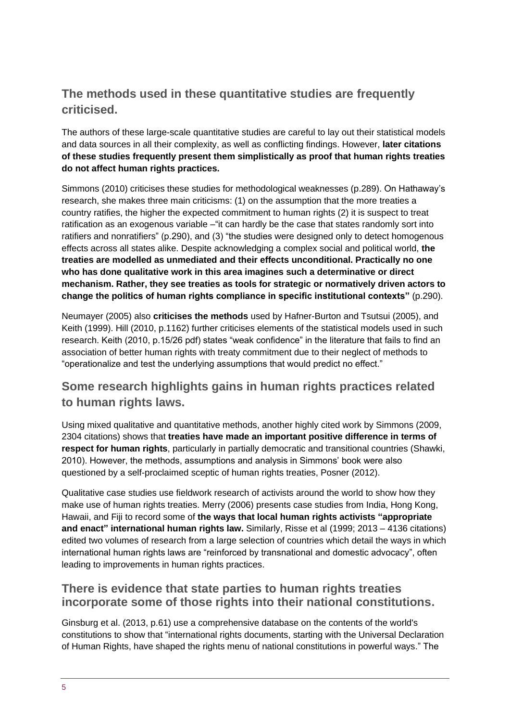## **The methods used in these quantitative studies are frequently criticised.**

The authors of these large-scale quantitative studies are careful to lay out their statistical models and data sources in all their complexity, as well as conflicting findings. However, **later citations of these studies frequently present them simplistically as proof that human rights treaties do not affect human rights practices.**

Simmons (2010) criticises these studies for methodological weaknesses (p.289). On Hathaway's research, she makes three main criticisms: (1) on the assumption that the more treaties a country ratifies, the higher the expected commitment to human rights (2) it is suspect to treat ratification as an exogenous variable – "it can hardly be the case that states randomly sort into ratifiers and nonratifiers" (p.290), and (3) "the studies were designed only to detect homogenous effects across all states alike. Despite acknowledging a complex social and political world, **the treaties are modelled as unmediated and their effects unconditional. Practically no one who has done qualitative work in this area imagines such a determinative or direct mechanism. Rather, they see treaties as tools for strategic or normatively driven actors to change the politics of human rights compliance in specific institutional contexts"** (p.290).

Neumayer (2005) also **criticises the methods** used by Hafner-Burton and Tsutsui (2005), and Keith (1999). Hill (2010, p.1162) further criticises elements of the statistical models used in such research. Keith (2010, p.15/26 pdf) states "weak confidence" in the literature that fails to find an association of better human rights with treaty commitment due to their neglect of methods to "operationalize and test the underlying assumptions that would predict no effect."

## **Some research highlights gains in human rights practices related to human rights laws.**

Using mixed qualitative and quantitative methods, another highly cited work by Simmons (2009, 2304 citations) shows that **treaties have made an important positive difference in terms of respect for human rights**, particularly in partially democratic and transitional countries (Shawki, 2010). However, the methods, assumptions and analysis in Simmons' book were also questioned by a self-proclaimed sceptic of human rights treaties, Posner (2012).

Qualitative case studies use fieldwork research of activists around the world to show how they make use of human rights treaties. Merry (2006) presents case studies from India, Hong Kong, Hawaii, and Fiji to record some of **the ways that local human rights activists "appropriate and enact" international human rights law.** Similarly, Risse et al (1999; 2013 – 4136 citations) edited two volumes of research from a large selection of countries which detail the ways in which international human rights laws are "reinforced by transnational and domestic advocacy", often leading to improvements in human rights practices.

#### **There is evidence that state parties to human rights treaties incorporate some of those rights into their national constitutions.**

Ginsburg et al. (2013, p.61) use a comprehensive database on the contents of the world's constitutions to show that "international rights documents, starting with the Universal Declaration of Human Rights, have shaped the rights menu of national constitutions in powerful ways." The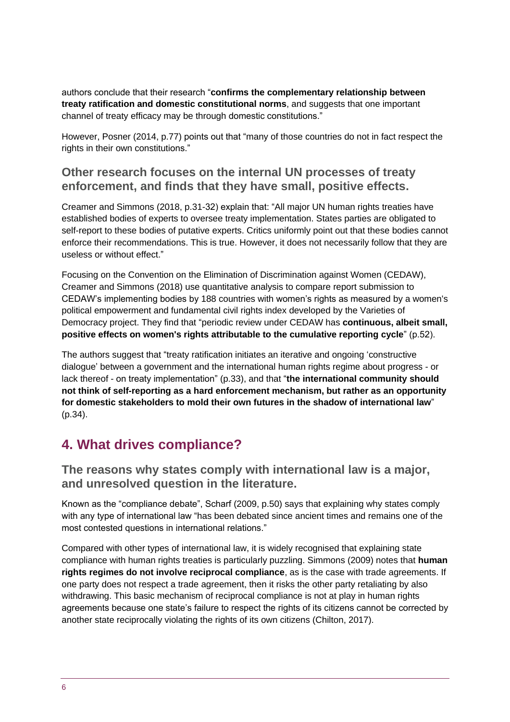authors conclude that their research "**confirms the complementary relationship between treaty ratification and domestic constitutional norms**, and suggests that one important channel of treaty efficacy may be through domestic constitutions."

However, Posner (2014, p.77) points out that "many of those countries do not in fact respect the rights in their own constitutions."

#### **Other research focuses on the internal UN processes of treaty enforcement, and finds that they have small, positive effects.**

Creamer and Simmons (2018, p.31-32) explain that: "All major UN human rights treaties have established bodies of experts to oversee treaty implementation. States parties are obligated to self-report to these bodies of putative experts. Critics uniformly point out that these bodies cannot enforce their recommendations. This is true. However, it does not necessarily follow that they are useless or without effect."

Focusing on the Convention on the Elimination of Discrimination against Women (CEDAW), Creamer and Simmons (2018) use quantitative analysis to compare report submission to CEDAW's implementing bodies by 188 countries with women's rights as measured by a women's political empowerment and fundamental civil rights index developed by the Varieties of Democracy project. They find that "periodic review under CEDAW has **continuous, albeit small, positive effects on women's rights attributable to the cumulative reporting cycle**" (p.52).

The authors suggest that "treaty ratification initiates an iterative and ongoing 'constructive dialogue' between a government and the international human rights regime about progress - or lack thereof - on treaty implementation" (p.33), and that "**the international community should not think of self-reporting as a hard enforcement mechanism, but rather as an opportunity for domestic stakeholders to mold their own futures in the shadow of international law**" (p.34).

# **4. What drives compliance?**

**The reasons why states comply with international law is a major, and unresolved question in the literature.**

Known as the "compliance debate", Scharf (2009, p.50) says that explaining why states comply with any type of international law "has been debated since ancient times and remains one of the most contested questions in international relations."

Compared with other types of international law, it is widely recognised that explaining state compliance with human rights treaties is particularly puzzling. Simmons (2009) notes that **human rights regimes do not involve reciprocal compliance**, as is the case with trade agreements. If one party does not respect a trade agreement, then it risks the other party retaliating by also withdrawing. This basic mechanism of reciprocal compliance is not at play in human rights agreements because one state's failure to respect the rights of its citizens cannot be corrected by another state reciprocally violating the rights of its own citizens (Chilton, 2017).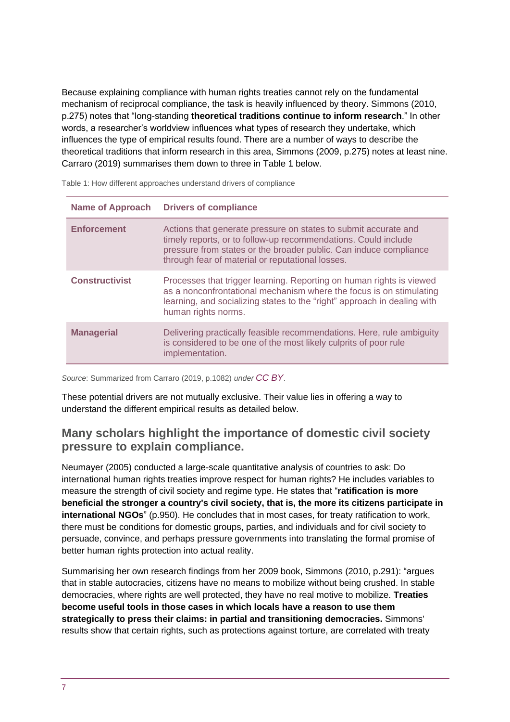Because explaining compliance with human rights treaties cannot rely on the fundamental mechanism of reciprocal compliance, the task is heavily influenced by theory. Simmons (2010, p.275) notes that "long-standing **theoretical traditions continue to inform research**." In other words, a researcher's worldview influences what types of research they undertake, which influences the type of empirical results found. There are a number of ways to describe the theoretical traditions that inform research in this area, Simmons (2009, p.275) notes at least nine. Carraro (2019) summarises them down to three in Table 1 below.

| <b>Name of Approach</b> | <b>Drivers of compliance</b>                                                                                                                                                                                                                               |
|-------------------------|------------------------------------------------------------------------------------------------------------------------------------------------------------------------------------------------------------------------------------------------------------|
| <b>Enforcement</b>      | Actions that generate pressure on states to submit accurate and<br>timely reports, or to follow-up recommendations. Could include<br>pressure from states or the broader public. Can induce compliance<br>through fear of material or reputational losses. |
| <b>Constructivist</b>   | Processes that trigger learning. Reporting on human rights is viewed<br>as a nonconfrontational mechanism where the focus is on stimulating<br>learning, and socializing states to the "right" approach in dealing with<br>human rights norms.             |
| <b>Managerial</b>       | Delivering practically feasible recommendations. Here, rule ambiguity<br>is considered to be one of the most likely culprits of poor rule<br>implementation.                                                                                               |

Table 1: How different approaches understand drivers of compliance

*Source*: Summarized from Carraro (2019, p.1082) *under [CC BY](https://creativecommons.org/licenses/by/2.5/dk/deed.en_GB)*.

These potential drivers are not mutually exclusive. Their value lies in offering a way to understand the different empirical results as detailed below.

#### **Many scholars highlight the importance of domestic civil society pressure to explain compliance.**

Neumayer (2005) conducted a large-scale quantitative analysis of countries to ask: Do international human rights treaties improve respect for human rights? He includes variables to measure the strength of civil society and regime type. He states that "**ratification is more beneficial the stronger a country's civil society, that is, the more its citizens participate in international NGOs**" (p.950). He concludes that in most cases, for treaty ratification to work, there must be conditions for domestic groups, parties, and individuals and for civil society to persuade, convince, and perhaps pressure governments into translating the formal promise of better human rights protection into actual reality.

Summarising her own research findings from her 2009 book, Simmons (2010, p.291): "argues that in stable autocracies, citizens have no means to mobilize without being crushed. In stable democracies, where rights are well protected, they have no real motive to mobilize. **Treaties become useful tools in those cases in which locals have a reason to use them strategically to press their claims: in partial and transitioning democracies.** Simmons' results show that certain rights, such as protections against torture, are correlated with treaty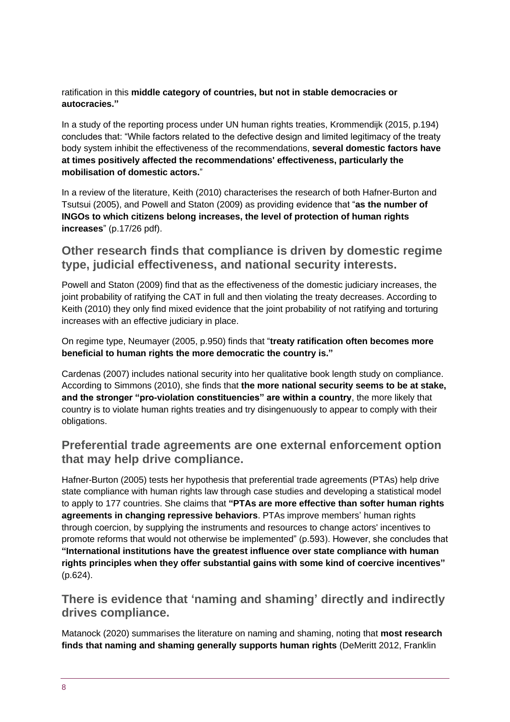ratification in this **middle category of countries, but not in stable democracies or autocracies."**

In a study of the reporting process under UN human rights treaties, Krommendijk (2015, p.194) concludes that: "While factors related to the defective design and limited legitimacy of the treaty body system inhibit the effectiveness of the recommendations, **several domestic factors have at times positively affected the recommendations' effectiveness, particularly the mobilisation of domestic actors.**"

In a review of the literature, Keith (2010) characterises the research of both Hafner-Burton and Tsutsui (2005), and Powell and Staton (2009) as providing evidence that "**as the number of INGOs to which citizens belong increases, the level of protection of human rights increases**" (p.17/26 pdf).

### **Other research finds that compliance is driven by domestic regime type, judicial effectiveness, and national security interests.**

Powell and Staton (2009) find that as the effectiveness of the domestic judiciary increases, the joint probability of ratifying the CAT in full and then violating the treaty decreases. According to Keith (2010) they only find mixed evidence that the joint probability of not ratifying and torturing increases with an effective judiciary in place.

On regime type, Neumayer (2005, p.950) finds that "**treaty ratification often becomes more beneficial to human rights the more democratic the country is."**

Cardenas (2007) includes national security into her qualitative book length study on compliance. According to Simmons (2010), she finds that **the more national security seems to be at stake, and the stronger "pro-violation constituencies" are within a country**, the more likely that country is to violate human rights treaties and try disingenuously to appear to comply with their obligations.

### **Preferential trade agreements are one external enforcement option that may help drive compliance.**

[Hafner-Burton \(2005\)](https://www.annualreviews.org/doi/10.1146/annurev.polisci.12.040907.132713) tests her hypothesis that preferential trade agreements (PTAs) help drive state compliance with human rights law through case studies and developing a statistical model to apply to 177 countries. She claims that **"PTAs are more effective than softer human rights agreements in changing repressive behaviors**. PTAs improve members' human rights through coercion, by supplying the instruments and resources to change actors' incentives to promote reforms that would not otherwise be implemented" (p.593). However, she concludes that **"International institutions have the greatest influence over state compliance with human rights principles when they offer substantial gains with some kind of coercive incentives"**  (p.624).

#### **There is evidence that 'naming and shaming' directly and indirectly drives compliance.**

Matanock (2020) summarises the literature on naming and shaming, noting that **most research finds that naming and shaming generally supports human rights** [\(DeMeritt 2012,](https://www.annualreviews.org/doi/10.1146/annurev-polisci-050718-033504) [Franklin](https://www.annualreviews.org/doi/10.1146/annurev-polisci-050718-033504)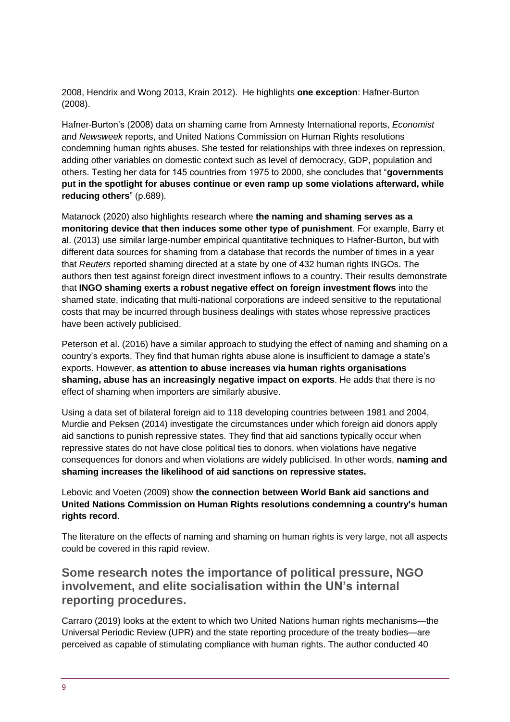[2008,](https://www.annualreviews.org/doi/10.1146/annurev-polisci-050718-033504) [Hendrix and](https://www.annualreviews.org/doi/10.1146/annurev-polisci-050718-033504) Wong 2013, [Krain 2012\)](https://www.annualreviews.org/doi/10.1146/annurev-polisci-050718-033504). He highlights **one exception**: [Hafner-Burton](https://www.annualreviews.org/doi/10.1146/annurev-polisci-050718-033504)  [\(2008\)](https://www.annualreviews.org/doi/10.1146/annurev-polisci-050718-033504).

[Hafner-Burton's \(2008\)](https://www.annualreviews.org/doi/10.1146/annurev-polisci-050718-033504) data on shaming came from Amnesty International reports, *Economist* and *Newsweek* reports, and United Nations Commission on Human Rights resolutions condemning human rights abuses. She tested for relationships with three indexes on repression, adding other variables on domestic context such as level of democracy, GDP, population and others. Testing her data for 145 countries from 1975 to 2000, she concludes that "**governments put in the spotlight for abuses continue or even ramp up some violations afterward, while reducing others**" (p.689).

Matanock (2020) also highlights research where **the naming and shaming serves as a monitoring device that then induces some other type of punishment**. For example, [Barry et](https://www.annualreviews.org/doi/10.1146/annurev-polisci-050718-033504)  [al. \(2013\)](https://www.annualreviews.org/doi/10.1146/annurev-polisci-050718-033504) use similar large-number empirical quantitative techniques to Hafner-Burton, but with different data sources for shaming from a database that records the number of times in a year that *Reuters* reported shaming directed at a state by one of 432 human rights INGOs. The authors then test against foreign direct investment inflows to a country. Their results demonstrate that **INGO shaming exerts a robust negative effect on foreign investment flows** into the shamed state, indicating that multi-national corporations are indeed sensitive to the reputational costs that may be incurred through business dealings with states whose repressive practices have been actively publicised.

[Peterson et al. \(2016\)](https://www.annualreviews.org/doi/10.1146/annurev-polisci-050718-033504) have a similar approach to studying the effect of naming and shaming on a country's exports. They find that human rights abuse alone is insufficient to damage a state's exports. However, **as attention to abuse increases via human rights organisations shaming, abuse has an increasingly negative impact on exports**. He adds that there is no effect of shaming when importers are similarly abusive.

Using a data set of bilateral foreign aid to 118 developing countries between 1981 and 2004, Murdie and [Peksen \(2014\)](https://www.annualreviews.org/doi/10.1146/annurev-polisci-050718-033504) investigate the circumstances under which foreign aid donors apply aid sanctions to punish repressive states. They find that aid sanctions typically occur when repressive states do not have close political ties to donors, when violations have negative consequences for donors and when violations are widely publicised. In other words, **naming and shaming increases the likelihood of aid sanctions on repressive states.**

Lebovic and [Voeten \(2009\)](https://www.annualreviews.org/doi/10.1146/annurev-polisci-050718-033504) show **the connection between World Bank aid sanctions and United Nations Commission on Human Rights resolutions condemning a country's human rights record**.

The literature on the effects of naming and shaming on human rights is very large, not all aspects could be covered in this rapid review.

### **Some research notes the importance of political pressure, NGO involvement, and elite socialisation within the UN's internal reporting procedures.**

Carraro (2019) looks at the extent to which two United Nations human rights mechanisms—the Universal Periodic Review (UPR) and the state reporting procedure of the treaty bodies—are perceived as capable of stimulating compliance with human rights. The author conducted 40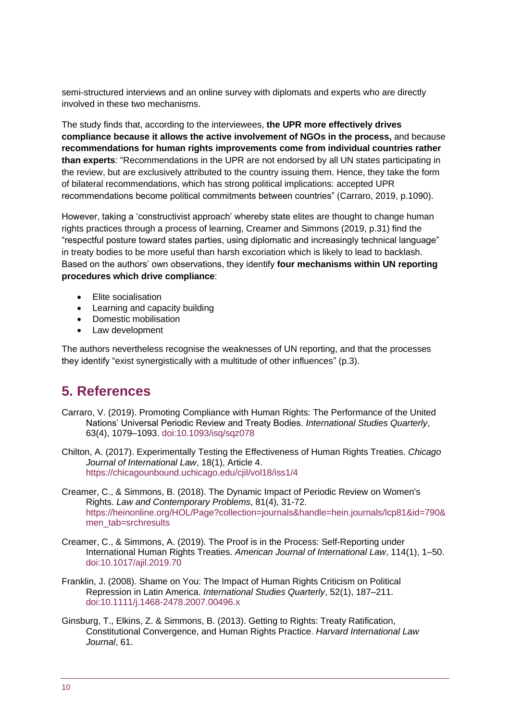semi-structured interviews and an online survey with diplomats and experts who are directly involved in these two mechanisms.

The study finds that, according to the interviewees, **the UPR more effectively drives compliance because it allows the active involvement of NGOs in the process,** and because **recommendations for human rights improvements come from individual countries rather than experts**: "Recommendations in the UPR are not endorsed by all UN states participating in the review, but are exclusively attributed to the country issuing them. Hence, they take the form of bilateral recommendations, which has strong political implications: accepted UPR recommendations become political commitments between countries" (Carraro, 2019, p.1090).

However, taking a 'constructivist approach' whereby state elites are thought to change human rights practices through a process of learning, Creamer and Simmons (2019, p.31) find the "respectful posture toward states parties, using diplomatic and increasingly technical language" in treaty bodies to be more useful than harsh excoriation which is likely to lead to backlash. Based on the authors' own observations, they identify **four mechanisms within UN reporting procedures which drive compliance**:

- Elite socialisation
- Learning and capacity building
- Domestic mobilisation
- Law development

The authors nevertheless recognise the weaknesses of UN reporting, and that the processes they identify "exist synergistically with a multitude of other influences" (p.3).

# **5. References**

- Carraro, V. (2019). Promoting Compliance with Human Rights: The Performance of the United Nations' Universal Periodic Review and Treaty Bodies. *International Studies Quarterly*, 63(4), 1079–1093. doi:10.1093/isq/sqz078
- Chilton, A. (2017). Experimentally Testing the Effectiveness of Human Rights Treaties. *Chicago Journal of International Law*, 18(1), Article 4. <https://chicagounbound.uchicago.edu/cjil/vol18/iss1/4>
- Creamer, C., & Simmons, B. (2018). The Dynamic Impact of Periodic Review on Women's Rights. *Law and Contemporary Problems*, 81(4), 31-72. [https://heinonline.org/HOL/Page?collection=journals&handle=hein.journals/lcp81&id=790&](https://heinonline.org/HOL/Page?collection=journals&handle=hein.journals/lcp81&id=790&men_tab=srchresults) [men\\_tab=srchresults](https://heinonline.org/HOL/Page?collection=journals&handle=hein.journals/lcp81&id=790&men_tab=srchresults)
- Creamer, C., & Simmons, A. (2019). The Proof is in the Process: Self-Reporting under International Human Rights Treaties. *American Journal of International Law*, 114(1), 1–50. doi:10.1017/ajil.2019.70
- Franklin, J. (2008). Shame on You: The Impact of Human Rights Criticism on Political Repression in Latin America. *International Studies Quarterly*, 52(1), 187–211. doi:10.1111/j.1468-2478.2007.00496.x
- Ginsburg, T., Elkins, Z. & Simmons, B. (2013). Getting to Rights: Treaty Ratification, Constitutional Convergence, and Human Rights Practice. *Harvard International Law Journal*, 61.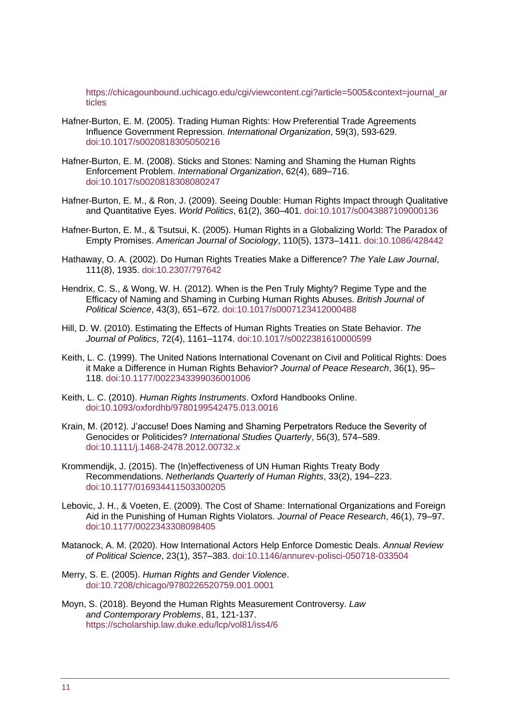[https://chicagounbound.uchicago.edu/cgi/viewcontent.cgi?article=5005&context=journal\\_ar](https://chicagounbound.uchicago.edu/cgi/viewcontent.cgi?article=5005&context=journal_articles) [ticles](https://chicagounbound.uchicago.edu/cgi/viewcontent.cgi?article=5005&context=journal_articles)

- Hafner-Burton, E. M. (2005). Trading Human Rights: How Preferential Trade Agreements Influence Government Repression. *International Organization*, 59(3), 593-629. doi:10.1017/s0020818305050216
- Hafner-Burton, E. M. (2008). Sticks and Stones: Naming and Shaming the Human Rights Enforcement Problem. *International Organization*, 62(4), 689–716. doi:10.1017/s0020818308080247
- Hafner-Burton, E. M., & Ron, J. (2009). Seeing Double: Human Rights Impact through Qualitative and Quantitative Eyes. *World Politics*, 61(2), 360–401. doi:10.1017/s0043887109000136
- Hafner‐Burton, E. M., & Tsutsui, K. (2005). Human Rights in a Globalizing World: The Paradox of Empty Promises. *American Journal of Sociology*, 110(5), 1373–1411. doi:10.1086/428442
- Hathaway, O. A. (2002). Do Human Rights Treaties Make a Difference? *The Yale Law Journal*, 111(8), 1935. doi:10.2307/797642
- Hendrix, C. S., & Wong, W. H. (2012). When is the Pen Truly Mighty? Regime Type and the Efficacy of Naming and Shaming in Curbing Human Rights Abuses. *British Journal of Political Science*, 43(3), 651–672. doi:10.1017/s0007123412000488
- Hill, D. W. (2010). Estimating the Effects of Human Rights Treaties on State Behavior. *The Journal of Politics*, 72(4), 1161–1174. doi:10.1017/s0022381610000599
- Keith, L. C. (1999). The United Nations International Covenant on Civil and Political Rights: Does it Make a Difference in Human Rights Behavior? *Journal of Peace Research*, 36(1), 95– 118. doi:10.1177/0022343399036001006
- Keith, L. C. (2010). *Human Rights Instruments*. Oxford Handbooks Online. doi:10.1093/oxfordhb/9780199542475.013.0016
- Krain, M. (2012). J'accuse! Does Naming and Shaming Perpetrators Reduce the Severity of Genocides or Politicides? *International Studies Quarterly*, 56(3), 574–589. doi:10.1111/j.1468-2478.2012.00732.x
- Krommendijk, J. (2015). The (In)effectiveness of UN Human Rights Treaty Body Recommendations. *Netherlands Quarterly of Human Rights*, 33(2), 194–223. doi:10.1177/016934411503300205
- Lebovic, J. H., & Voeten, E. (2009). The Cost of Shame: International Organizations and Foreign Aid in the Punishing of Human Rights Violators. *Journal of Peace Research*, 46(1), 79–97. doi:10.1177/0022343308098405
- Matanock, A. M. (2020). How International Actors Help Enforce Domestic Deals. *Annual Review of Political Science*, 23(1), 357–383. doi:10.1146/annurev-polisci-050718-033504
- Merry, S. E. (2005). *Human Rights and Gender Violence*. doi:10.7208/chicago/9780226520759.001.0001
- Moyn, S. (2018). Beyond the Human Rights Measurement Controversy. *Law and Contemporary Problems*, 81, 121-137. <https://scholarship.law.duke.edu/lcp/vol81/iss4/6>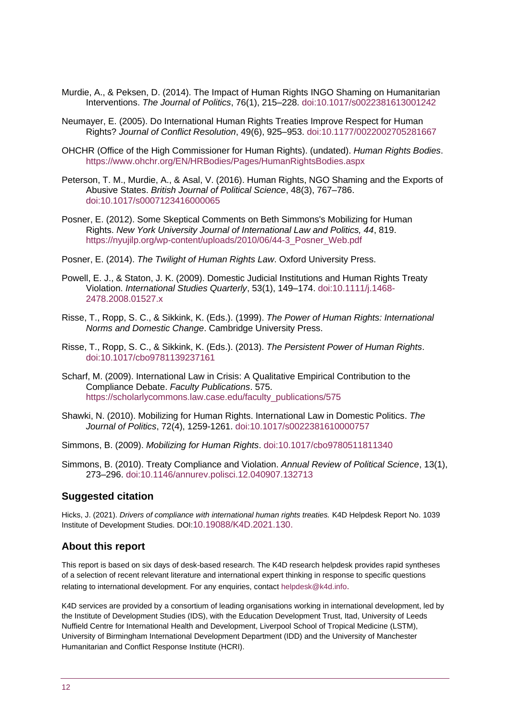- Murdie, A., & Peksen, D. (2014). The Impact of Human Rights INGO Shaming on Humanitarian Interventions. *The Journal of Politics*, 76(1), 215–228. doi:10.1017/s0022381613001242
- Neumayer, E. (2005). Do International Human Rights Treaties Improve Respect for Human Rights? *Journal of Conflict Resolution*, 49(6), 925–953. doi:10.1177/0022002705281667
- OHCHR (Office of the High Commissioner for Human Rights). (undated). *Human Rights Bodies*. <https://www.ohchr.org/EN/HRBodies/Pages/HumanRightsBodies.aspx>
- Peterson, T. M., Murdie, A., & Asal, V. (2016). Human Rights, NGO Shaming and the Exports of Abusive States. *British Journal of Political Science*, 48(3), 767–786. doi:10.1017/s0007123416000065
- Posner, E. (2012). Some Skeptical Comments on Beth Simmons's Mobilizing for Human Rights. *New York University Journal of International Law and Politics, 44*, 819. [https://nyujilp.org/wp-content/uploads/2010/06/44-3\\_Posner\\_Web.pdf](https://nyujilp.org/wp-content/uploads/2010/06/44-3_Posner_Web.pdf)
- Posner, E. (2014). *The Twilight of Human Rights Law*. Oxford University Press.
- Powell, E. J., & Staton, J. K. (2009). Domestic Judicial Institutions and Human Rights Treaty Violation. *International Studies Quarterly*, 53(1), 149–174. doi:10.1111/j.1468- 2478.2008.01527.x
- Risse, T., Ropp, S. C., & Sikkink, K. (Eds.). (1999). *[The Power of Human Rights: International](https://scholar.harvard.edu/ksikkink/publications/power-human-rights-international-norms-and-domestic-change)  [Norms and Domestic Change](https://scholar.harvard.edu/ksikkink/publications/power-human-rights-international-norms-and-domestic-change)*. Cambridge University Press.
- Risse, T., Ropp, S. C., & Sikkink, K. (Eds.). (2013). *The Persistent Power of Human Rights*. doi:10.1017/cbo9781139237161
- Scharf, M. (2009). International Law in Crisis: A Qualitative Empirical Contribution to the Compliance Debate. *Faculty Publications*. 575. [https://scholarlycommons.law.case.edu/faculty\\_publications/575](https://scholarlycommons.law.case.edu/faculty_publications/575)
- Shawki, N. (2010). [Mobilizing for Human Rights. International Law in Domestic Politics.](https://www.journals.uchicago.edu/doi/abs/10.1017/S0022381610000757) *The Journal of Politics*, 72(4), 1259-1261. doi:10.1017/s0022381610000757

Simmons, B. (2009). *Mobilizing for Human Rights*. doi:10.1017/cbo9780511811340

Simmons, B. (2010). Treaty Compliance and Violation. *Annual Review of Political Science*, 13(1), 273–296. doi:10.1146/annurev.polisci.12.040907.132713

#### **Suggested citation**

Hicks, J. (2021). *Drivers of compliance with international human rights treaties.* K4D Helpdesk Report No. 1039 Institute of Development Studies. DOI:[10.19088/K4D.2021.130.](https://doi.org/10.19088/K4D.2021.130)

#### **About this report**

This report is based on six days of desk-based research. The K4D research helpdesk provides rapid syntheses of a selection of recent relevant literature and international expert thinking in response to specific questions relating to international development. For any enquiries, contact [helpdesk@k4d.info](mailto:helpdesk@k4d.info).

K4D services are provided by a consortium of leading organisations working in international development, led by the Institute of Development Studies (IDS), with the Education Development Trust, Itad, University of Leeds Nuffield Centre for International Health and Development, Liverpool School of Tropical Medicine (LSTM), University of Birmingham International Development Department (IDD) and the University of Manchester Humanitarian and Conflict Response Institute (HCRI).